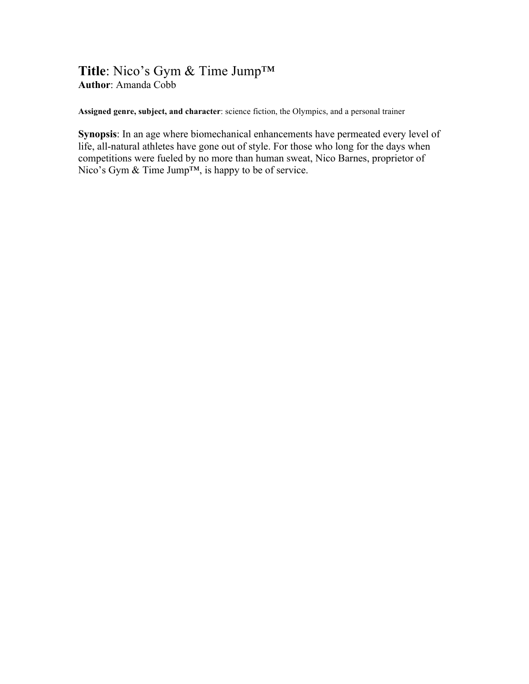## **Title**: Nico's Gym & Time Jump™ **Author**: Amanda Cobb

**Assigned genre, subject, and character**: science fiction, the Olympics, and a personal trainer

**Synopsis**: In an age where biomechanical enhancements have permeated every level of life, all-natural athletes have gone out of style. For those who long for the days when competitions were fueled by no more than human sweat, Nico Barnes, proprietor of Nico's Gym & Time Jump<sup>™</sup>, is happy to be of service.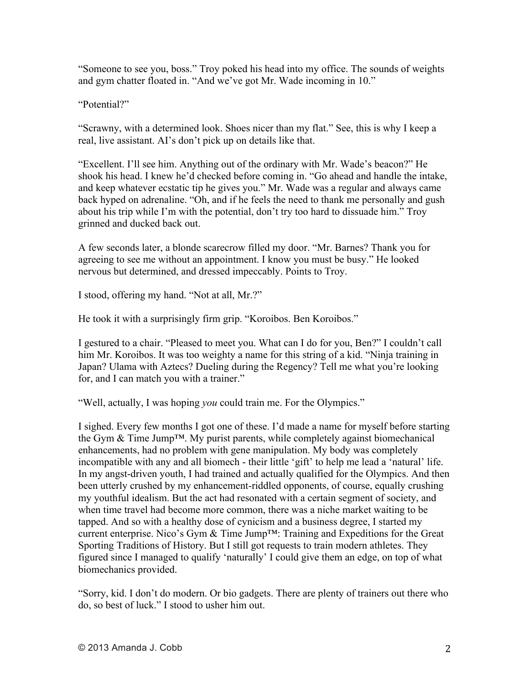"Someone to see you, boss." Troy poked his head into my office. The sounds of weights and gym chatter floated in. "And we've got Mr. Wade incoming in 10."

"Potential?"

"Scrawny, with a determined look. Shoes nicer than my flat." See, this is why I keep a real, live assistant. AI's don't pick up on details like that.

"Excellent. I'll see him. Anything out of the ordinary with Mr. Wade's beacon?" He shook his head. I knew he'd checked before coming in. "Go ahead and handle the intake, and keep whatever ecstatic tip he gives you." Mr. Wade was a regular and always came back hyped on adrenaline. "Oh, and if he feels the need to thank me personally and gush about his trip while I'm with the potential, don't try too hard to dissuade him." Troy grinned and ducked back out.

A few seconds later, a blonde scarecrow filled my door. "Mr. Barnes? Thank you for agreeing to see me without an appointment. I know you must be busy." He looked nervous but determined, and dressed impeccably. Points to Troy.

I stood, offering my hand. "Not at all, Mr.?"

He took it with a surprisingly firm grip. "Koroibos. Ben Koroibos."

I gestured to a chair. "Pleased to meet you. What can I do for you, Ben?" I couldn't call him Mr. Koroibos. It was too weighty a name for this string of a kid. "Ninja training in Japan? Ulama with Aztecs? Dueling during the Regency? Tell me what you're looking for, and I can match you with a trainer."

"Well, actually, I was hoping *you* could train me. For the Olympics."

I sighed. Every few months I got one of these. I'd made a name for myself before starting the Gym & Time Jump™. My purist parents, while completely against biomechanical enhancements, had no problem with gene manipulation. My body was completely incompatible with any and all biomech - their little 'gift' to help me lead a 'natural' life. In my angst-driven youth, I had trained and actually qualified for the Olympics. And then been utterly crushed by my enhancement-riddled opponents, of course, equally crushing my youthful idealism. But the act had resonated with a certain segment of society, and when time travel had become more common, there was a niche market waiting to be tapped. And so with a healthy dose of cynicism and a business degree, I started my current enterprise. Nico's Gym & Time Jump™: Training and Expeditions for the Great Sporting Traditions of History. But I still got requests to train modern athletes. They figured since I managed to qualify 'naturally' I could give them an edge, on top of what biomechanics provided.

"Sorry, kid. I don't do modern. Or bio gadgets. There are plenty of trainers out there who do, so best of luck." I stood to usher him out.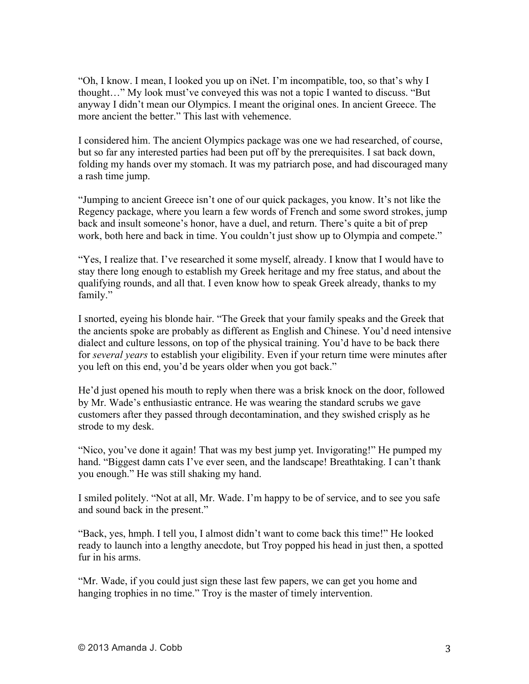"Oh, I know. I mean, I looked you up on iNet. I'm incompatible, too, so that's why I thought…" My look must've conveyed this was not a topic I wanted to discuss. "But anyway I didn't mean our Olympics. I meant the original ones. In ancient Greece. The more ancient the better." This last with vehemence.

I considered him. The ancient Olympics package was one we had researched, of course, but so far any interested parties had been put off by the prerequisites. I sat back down, folding my hands over my stomach. It was my patriarch pose, and had discouraged many a rash time jump.

"Jumping to ancient Greece isn't one of our quick packages, you know. It's not like the Regency package, where you learn a few words of French and some sword strokes, jump back and insult someone's honor, have a duel, and return. There's quite a bit of prep work, both here and back in time. You couldn't just show up to Olympia and compete."

"Yes, I realize that. I've researched it some myself, already. I know that I would have to stay there long enough to establish my Greek heritage and my free status, and about the qualifying rounds, and all that. I even know how to speak Greek already, thanks to my family."

I snorted, eyeing his blonde hair. "The Greek that your family speaks and the Greek that the ancients spoke are probably as different as English and Chinese. You'd need intensive dialect and culture lessons, on top of the physical training. You'd have to be back there for *several years* to establish your eligibility. Even if your return time were minutes after you left on this end, you'd be years older when you got back."

He'd just opened his mouth to reply when there was a brisk knock on the door, followed by Mr. Wade's enthusiastic entrance. He was wearing the standard scrubs we gave customers after they passed through decontamination, and they swished crisply as he strode to my desk.

"Nico, you've done it again! That was my best jump yet. Invigorating!" He pumped my hand. "Biggest damn cats I've ever seen, and the landscape! Breathtaking. I can't thank you enough." He was still shaking my hand.

I smiled politely. "Not at all, Mr. Wade. I'm happy to be of service, and to see you safe and sound back in the present."

"Back, yes, hmph. I tell you, I almost didn't want to come back this time!" He looked ready to launch into a lengthy anecdote, but Troy popped his head in just then, a spotted fur in his arms.

"Mr. Wade, if you could just sign these last few papers, we can get you home and hanging trophies in no time." Troy is the master of timely intervention.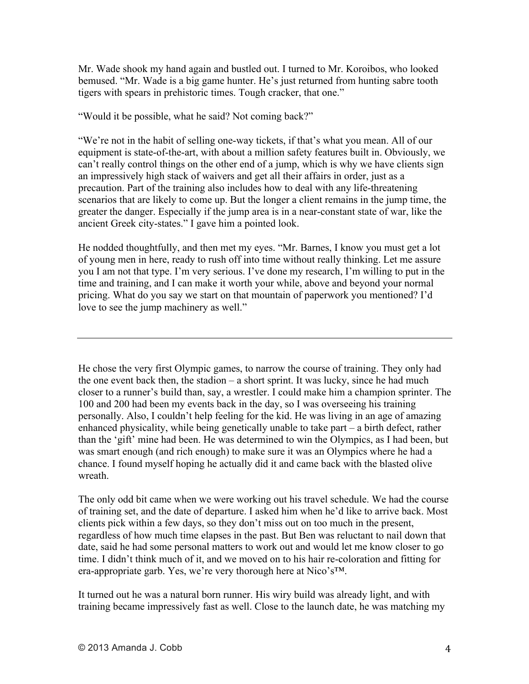Mr. Wade shook my hand again and bustled out. I turned to Mr. Koroibos, who looked bemused. "Mr. Wade is a big game hunter. He's just returned from hunting sabre tooth tigers with spears in prehistoric times. Tough cracker, that one."

"Would it be possible, what he said? Not coming back?"

"We're not in the habit of selling one-way tickets, if that's what you mean. All of our equipment is state-of-the-art, with about a million safety features built in. Obviously, we can't really control things on the other end of a jump, which is why we have clients sign an impressively high stack of waivers and get all their affairs in order, just as a precaution. Part of the training also includes how to deal with any life-threatening scenarios that are likely to come up. But the longer a client remains in the jump time, the greater the danger. Especially if the jump area is in a near-constant state of war, like the ancient Greek city-states." I gave him a pointed look.

He nodded thoughtfully, and then met my eyes. "Mr. Barnes, I know you must get a lot of young men in here, ready to rush off into time without really thinking. Let me assure you I am not that type. I'm very serious. I've done my research, I'm willing to put in the time and training, and I can make it worth your while, above and beyond your normal pricing. What do you say we start on that mountain of paperwork you mentioned? I'd love to see the jump machinery as well."

He chose the very first Olympic games, to narrow the course of training. They only had the one event back then, the stadion  $-$  a short sprint. It was lucky, since he had much closer to a runner's build than, say, a wrestler. I could make him a champion sprinter. The 100 and 200 had been my events back in the day, so I was overseeing his training personally. Also, I couldn't help feeling for the kid. He was living in an age of amazing enhanced physicality, while being genetically unable to take part – a birth defect, rather than the 'gift' mine had been. He was determined to win the Olympics, as I had been, but was smart enough (and rich enough) to make sure it was an Olympics where he had a chance. I found myself hoping he actually did it and came back with the blasted olive wreath.

The only odd bit came when we were working out his travel schedule. We had the course of training set, and the date of departure. I asked him when he'd like to arrive back. Most clients pick within a few days, so they don't miss out on too much in the present, regardless of how much time elapses in the past. But Ben was reluctant to nail down that date, said he had some personal matters to work out and would let me know closer to go time. I didn't think much of it, and we moved on to his hair re-coloration and fitting for era-appropriate garb. Yes, we're very thorough here at Nico's™.

It turned out he was a natural born runner. His wiry build was already light, and with training became impressively fast as well. Close to the launch date, he was matching my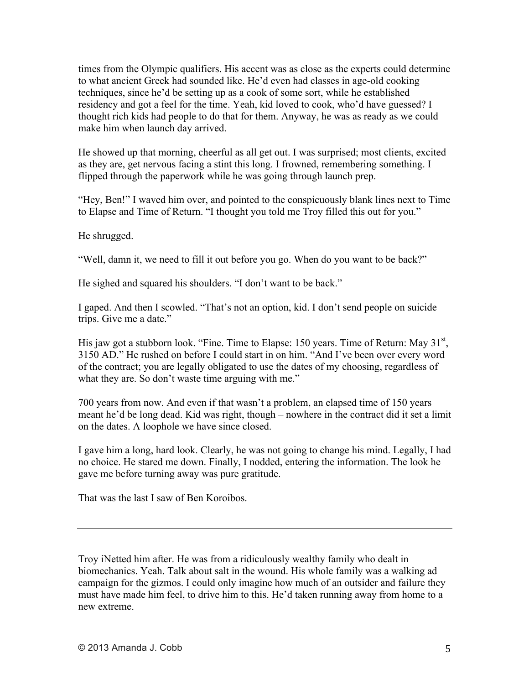times from the Olympic qualifiers. His accent was as close as the experts could determine to what ancient Greek had sounded like. He'd even had classes in age-old cooking techniques, since he'd be setting up as a cook of some sort, while he established residency and got a feel for the time. Yeah, kid loved to cook, who'd have guessed? I thought rich kids had people to do that for them. Anyway, he was as ready as we could make him when launch day arrived.

He showed up that morning, cheerful as all get out. I was surprised; most clients, excited as they are, get nervous facing a stint this long. I frowned, remembering something. I flipped through the paperwork while he was going through launch prep.

"Hey, Ben!" I waved him over, and pointed to the conspicuously blank lines next to Time to Elapse and Time of Return. "I thought you told me Troy filled this out for you."

He shrugged.

"Well, damn it, we need to fill it out before you go. When do you want to be back?"

He sighed and squared his shoulders. "I don't want to be back."

I gaped. And then I scowled. "That's not an option, kid. I don't send people on suicide trips. Give me a date."

His jaw got a stubborn look. "Fine. Time to Elapse: 150 years. Time of Return: May  $31<sup>st</sup>$ , 3150 AD." He rushed on before I could start in on him. "And I've been over every word of the contract; you are legally obligated to use the dates of my choosing, regardless of what they are. So don't waste time arguing with me."

700 years from now. And even if that wasn't a problem, an elapsed time of 150 years meant he'd be long dead. Kid was right, though – nowhere in the contract did it set a limit on the dates. A loophole we have since closed.

I gave him a long, hard look. Clearly, he was not going to change his mind. Legally, I had no choice. He stared me down. Finally, I nodded, entering the information. The look he gave me before turning away was pure gratitude.

That was the last I saw of Ben Koroibos.

Troy iNetted him after. He was from a ridiculously wealthy family who dealt in biomechanics. Yeah. Talk about salt in the wound. His whole family was a walking ad campaign for the gizmos. I could only imagine how much of an outsider and failure they must have made him feel, to drive him to this. He'd taken running away from home to a new extreme.